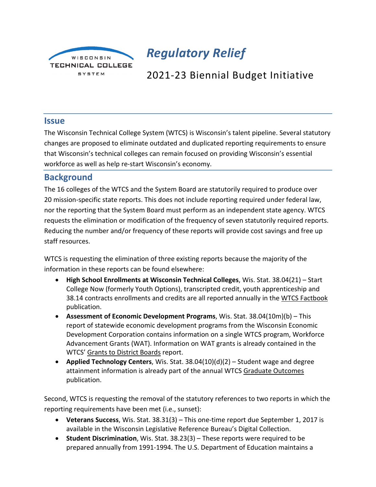

# *Regulatory Relief*

## 2021-23 Biennial Budget Initiative

#### **Issue**

The Wisconsin Technical College System (WTCS) is Wisconsin's talent pipeline. Several statutory changes are proposed to eliminate outdated and duplicated reporting requirements to ensure that Wisconsin's technical colleges can remain focused on providing Wisconsin's essential workforce as well as help re-start Wisconsin's economy.

### **Background**

The 16 colleges of the WTCS and the System Board are statutorily required to produce over 20 mission-specific state reports. This does not include reporting required under federal law, nor the reporting that the System Board must perform as an independent state agency. WTCS requests the elimination or modification of the frequency of seven statutorily required reports. Reducing the number and/or frequency of these reports will provide cost savings and free up staff resources.

WTCS is requesting the elimination of three existing reports because the majority of the information in these reports can be found elsewhere:

- **High School Enrollments at Wisconsin Technical Colleges**, Wis. Stat. 38.04(21) Start College Now (formerly Youth Options), transcripted credit, youth apprenticeship and 38.14 contracts enrollments and credits are all reported annually in the WTCS Factbook publication.
- **Assessment of Economic Development Programs**, Wis. Stat. 38.04(10m)(b) This report of statewide economic development programs from the Wisconsin Economic Development Corporation contains information on a single WTCS program, Workforce Advancement Grants (WAT). Information on WAT grants is already contained in the WTCS' Grants to District Boards report.
- **Applied Technology Centers**, Wis. Stat. 38.04(10)(d)(2) Student wage and degree attainment information is already part of the annual WTCS Graduate Outcomes publication.

Second, WTCS is requesting the removal of the statutory references to two reports in which the reporting requirements have been met (i.e., sunset):

- **Veterans Success**, Wis. Stat. 38.31(3) This one-time report due September 1, 2017 is available in the Wisconsin Legislative Reference Bureau's Digital Collection.
- **Student Discrimination**, Wis. Stat. 38.23(3) These reports were required to be prepared annually from 1991-1994. The U.S. Department of Education maintains a